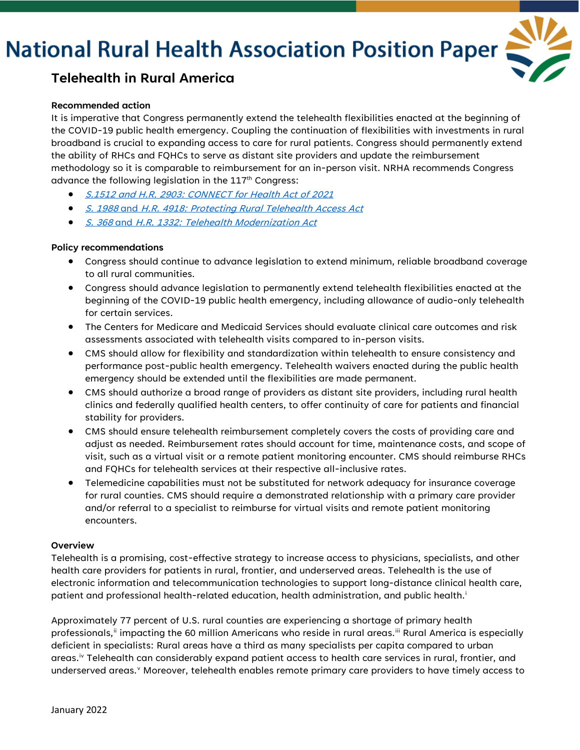# **National Rural Health Association Position Paper**



## **Telehealth in Rural America**

#### **Recommended action**

It is imperative that Congress permanently extend the telehealth flexibilities enacted at the beginning of the COVID-19 public health emergency. Coupling the continuation of flexibilities with investments in rural broadband is crucial to expanding access to care for rural patients. Congress should permanently extend the ability of RHCs and FQHCs to serve as distant site providers and update the reimbursement methodology so it is comparable to reimbursement for an in-person visit. NRHA recommends Congress advance the following legislation in the 117<sup>th</sup> Congress:

- [S.1512 and H.R. 2903: CONNECT](https://www.congress.gov/bill/117th-congress/senate-bill/1512) for Health Act of 2021
- S. 1988 and [H.R. 4918: Protecting Rural Telehealth Access Act](https://www.congress.gov/bill/117th-congress/senate-bill/1988)
- S. 368 and [H.R. 1332: Telehealth Modernization Act](https://www.congress.gov/bill/117th-congress/senate-bill/368)

### **Policy recommendations**

- Congress should continue to advance legislation to extend minimum, reliable broadband coverage to all rural communities.
- Congress should advance legislation to permanently extend telehealth flexibilities enacted at the beginning of the COVID-19 public health emergency, including allowance of audio-only telehealth for certain services.
- The Centers for Medicare and Medicaid Services should evaluate clinical care outcomes and risk assessments associated with telehealth visits compared to in-person visits.
- CMS should allow for flexibility and standardization within telehealth to ensure consistency and performance post-public health emergency. Telehealth waivers enacted during the public health emergency should be extended until the flexibilities are made permanent.
- CMS should authorize a broad range of providers as distant site providers, including rural health clinics and federally qualified health centers, to offer continuity of care for patients and financial stability for providers.
- CMS should ensure telehealth reimbursement completely covers the costs of providing care and adjust as needed. Reimbursement rates should account for time, maintenance costs, and scope of visit, such as a virtual visit or a remote patient monitoring encounter. CMS should reimburse RHCs and FQHCs for telehealth services at their respective all-inclusive rates.
- Telemedicine capabilities must not be substituted for network adequacy for insurance coverage for rural counties. CMS should require a demonstrated relationship with a primary care provider and/or referral to a specialist to reimburse for virtual visits and remote patient monitoring encounters.

#### **Overview**

Telehealth is a promising, cost-effective strategy to increase access to physicians, specialists, and other health care providers for patients in rural, frontier, and underserved areas. Telehealth is the use of electronic information and telecommunication technologies to support long-distance clinical health care, patient and professional health-related education, health administration, and public health. [i](#page-2-0)

Approximately 77 percent of U.S. rural counties are experiencing a shortage of primary health professionals," impacting the 60 million Americans who reside in rural areas."" Rural America is especially deficient in specialists: Rural areas have a third as many specialists per capita compared to urban areas.<sup>[iv](#page-2-3)</sup> Telehealth can considerably expand patient access to health care services in rural, frontier, and underser[v](#page-2-4)ed areas.<sup>v</sup> Moreover, telehealth enables remote primary care providers to have timely access to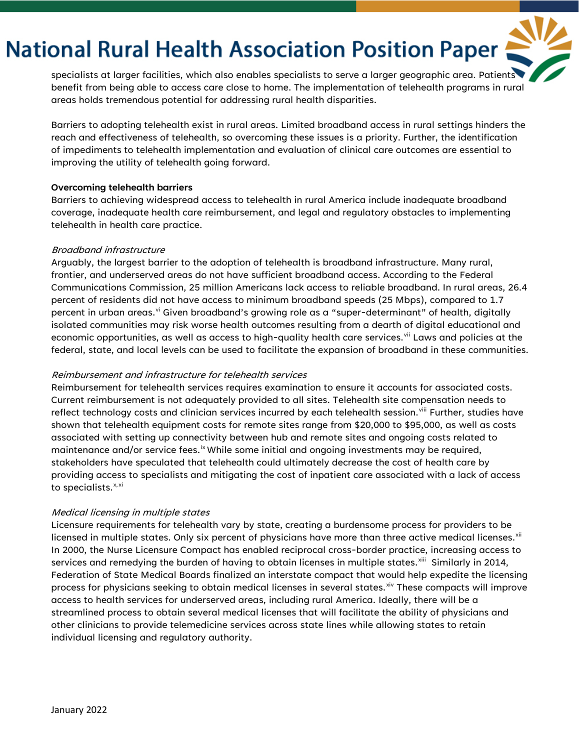# **National Rural Health Association Position Paper**

specialists at larger facilities, which also enables specialists to serve a larger geographic area. Patients benefit from being able to access care close to home. The implementation of telehealth programs in rural areas holds tremendous potential for addressing rural health disparities.

Barriers to adopting telehealth exist in rural areas. Limited broadband access in rural settings hinders the reach and effectiveness of telehealth, so overcoming these issues is a priority. Further, the identification of impediments to telehealth implementation and evaluation of clinical care outcomes are essential to improving the utility of telehealth going forward.

#### **Overcoming telehealth barriers**

Barriers to achieving widespread access to telehealth in rural America include inadequate broadband coverage, inadequate health care reimbursement, and legal and regulatory obstacles to implementing telehealth in health care practice.

#### Broadband infrastructure

Arguably, the largest barrier to the adoption of telehealth is broadband infrastructure. Many rural, frontier, and underserved areas do not have sufficient broadband access. According to the Federal Communications Commission, 25 million Americans lack access to reliable broadband. In rural areas, 26.4 percent of residents did not have access to minimum broadband speeds (25 Mbps), compared to 1.7 percent in urban areas.<sup>[vi](#page-2-5)</sup> Given broadband's growing role as a "super-determinant" of health, digitally isolated communities may risk worse health outcomes resulting from a dearth of digital educational and economic opportunities, as well as access to high-quality health care services.<sup>[vii](#page-2-6)</sup> Laws and policies at the federal, state, and local levels can be used to facilitate the expansion of broadband in these communities.

### Reimbursement and infrastructure for telehealth services

Reimbursement for telehealth services requires examination to ensure it accounts for associated costs. Current reimbursement is not adequately provided to all sites. Telehealth site compensation needs to reflect technology costs and clinician services incurred by each telehealth session.<sup>[viii](#page-2-7)</sup> Further, studies have shown that telehealth equipment costs for remote sites range from \$20,000 to \$95,000, as well as costs associated with setting up connectivity between hub and remote sites and ongoing costs related to maintenance and/or service fees.<sup>[ix](#page-2-8)</sup> While some initial and ongoing investments may be required, stakeholders have speculated that telehealth could ultimately decrease the cost of health care by providing access to specialists and mitigating the cost of inpatient care associated with a lack of access to specialists.<sup>[x,](#page-2-9)[xi](#page-2-10)</sup>

### Medical licensing in multiple states

Licensure requirements for telehealth vary by state, creating a burdensome process for providers to be licensed in multiple states. Only six percent of physicians have more than three active medical licenses. $x^{iii}$ In 2000, the Nurse Licensure Compact has enabled reciprocal cross-border practice, increasing access to services and remedying the burden of having to obtain licenses in multiple states.<sup>xiii</sup> Similarly in 2014, Federation of State Medical Boards finalized an interstate compact that would help expedite the licensing process for physicians seeking to obtain medical licenses in several states.<sup>[xiv](#page-2-13)</sup> These compacts will improve access to health services for underserved areas, including rural America. Ideally, there will be a streamlined process to obtain several medical licenses that will facilitate the ability of physicians and other clinicians to provide telemedicine services across state lines while allowing states to retain individual licensing and regulatory authority.